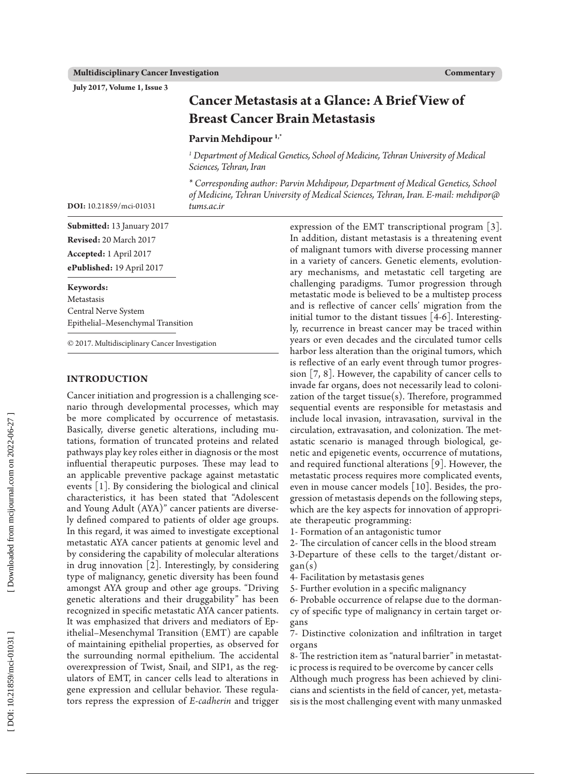**July 2017, Volume 1, Issue 3**

| <b>Cancer Metastasis at a Glance: A Brief View of</b> |  |
|-------------------------------------------------------|--|
| <b>Breast Cancer Brain Metastasis</b>                 |  |

# **Parvin Mehdipour 1,\***

<sup>1</sup> Department of Medical Genetics, School of Medicine, Tehran University of Medical *Sciences, Tehran, Iran*

*\* Corresponding author: Parvin Mehdipour, Department of Medical Genetics, School of Medicine, Tehran University of Medical Sciences, Tehran, Iran. E-mail: mehdipor@ tums.ac.ir*

**Submitted:** 13 January 2017 **Revised:** 20 March 2017 **Accepted:**  1 April 2017 **ePublished:** 19 April 2017

**DOI:** 10.21859/mci-01031

**Keywords:** Metastasis Central Nerve System Epithelial–Mesenchymal Transition

© 2017. Multidisciplinary Cancer Investigation

#### **INTRODUCTION**

Cancer initiation and progression is a challenging sce nario through developmental processes, which may be more complicated by occurrence of metastasis. Basically, diverse genetic alterations, including mu tations, formation of truncated proteins and related pathways play key roles either in diagnosis or the most influential therapeutic purposes. These may lead to an applicable preventive package against metastatic events [1]. By considering the biological and clinical characteristics, it has been stated that "Adolescent and Young Adult (AYA)" cancer patients are diverse ly defined compared to patients of older age groups. In this regard, it was aimed to investigate exceptional metastatic AYA cancer patients at genomic level and by considering the capability of molecular alterations in drug innovation [2]. Interestingly, by considering type of malignancy, genetic diversity has been found amongst AYA group and other age groups. "Driving genetic alterations and their druggability" has been recognized in specific metastatic AYA cancer patients. It was emphasized that drivers and mediators of Ep ithelial–Mesenchymal Transition (EMT) are capable of maintaining epithelial properties, as observed for the surrounding normal epithelium. The accidental overexpression of Twist, Snail, and SIP1, as the reg ulators of EMT, in cancer cells lead to alterations in gene expression and cellular behavior. These regula tors repress the expression of *E-cadherin* and trigger

expression of the EMT transcriptional program [3]. In addition, distant metastasis is a threatening event of malignant tumors with diverse processing manner in a variety of cancers. Genetic elements, evolution ary mechanisms, and metastatic cell targeting are challenging paradigms. Tumor progression through metastatic mode is believed to be a multistep process and is reflective of cancer cells' migration from the initial tumor to the distant tissues [4-6]. Interesting ly, recurrence in breast cancer may be traced within years or even decades and the circulated tumor cells harbor less alteration than the original tumors, which is reflective of an early event through tumor progres sion [7, 8]. However, the capability of cancer cells to invade far organs, does not necessarily lead to coloni zation of the target tissue $(s)$ . Therefore, programmed sequential events are responsible for metastasis and include local invasion, intravasation, survival in the circulation, extravasation, and colonization. The met astatic scenario is managed through biological, ge netic and epigenetic events, occurrence of mutations, and required functional alterations [9]. However, the metastatic process requires more complicated events, even in mouse cancer models **[**10 **]**. Besides, the pro gression of metastasis depends on the following steps, which are the key aspects for innovation of appropri ate therapeutic programming:

1- Formation of an antagonistic tumor

2- The circulation of cancer cells in the blood stream

3-Departure of these cells to the target/distant or gan(s)

4- Facilitation by metastasis genes

5- Further evolution in a specific malignancy

6- Probable occurrence of relapse due to the dorman cy of specific type of malignancy in certain target or gans

7- Distinctive colonization and infiltration in target organs

8- The restriction item as "natural barrier" in metastat ic process is required to be overcome by cancer cells

Although much progress has been achieved by clini cians and scientists in the field of cancer, yet, metasta sis is the most challenging event with many unmasked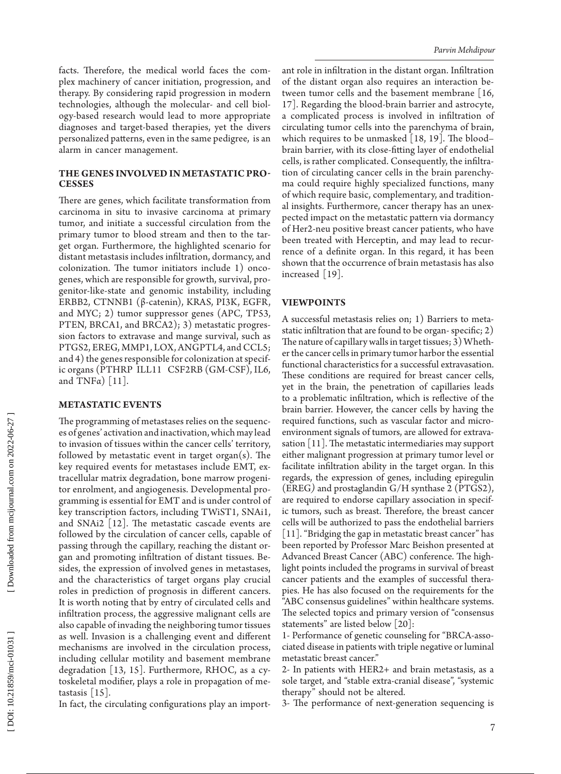facts. Therefore, the medical world faces the com plex machinery of cancer initiation, progression, and therapy. By considering rapid progression in modern technologies, although the molecular- and cell biol ogy-based research would lead to more appropriate diagnoses and target-based therapies, yet the divers personalized patterns, even in the same pedigree, is an alarm in cancer management.

### **The Ge n e s Invo lve d in Metastatic Pro c ess e s**

There are genes, which facilitate transformation from carcinoma in situ to invasive carcinoma at primary tumor, and initiate a successful circulation from the primary tumor to blood stream and then to the tar get organ. Furthermore, the highlighted scenario for distant metastasis includes infiltration, dormancy, and colonization. The tumor initiators include 1) onco genes, which are responsible for growth, survival, pro genitor-like-state and genomic instability, including ERBB2, CTNNB1 (β-catenin), KRAS, PI3K, EGFR, and MYC; 2) tumor suppressor genes (APC, TP53, PTEN, BRCA1, and BRCA2); 3) metastatic progres sion factors to extravase and mange survival, such as PTGS2, EREG, MMP1, LOX, ANGPTL4, and CCL5; and 4) the genes responsible for colonization at specific organs (PTHRP ILL11 CSF2RB (GM-CSF), IL6, and TNF $\alpha$ ) [11].

#### **Metastatic Events**

The programming of metastases relies on the sequenc es of genes' activation and inactivation, which may lead to invasion of tissues within the cancer cells' territory, followed by metastatic event in target organ $(s)$ . The key required events for metastases include EMT, ex tracellular matrix degradation, bone marrow progeni tor enrolment, and angiogenesis. Developmental pro gramming is essential for EMT and is under control of key transcription factors, including TWiST1, SNAi1, and SNAi2 [12]. The metastatic cascade events are followed by the circulation of cancer cells, capable of passing through the capillary, reaching the distant or gan and promoting infiltration of distant tissues. Be sides, the expression of involved genes in metastases, and the characteristics of target organs play crucial roles in prediction of prognosis in different cancers. It is worth noting that by entry of circulated cells and infiltration process, the aggressive malignant cells are also capable of invading the neighboring tumor tissues as well. Invasion is a challenging event and different mechanisms are involved in the circulation process, including cellular motility and basement membrane degradation [13, 15]. Furthermore, RHOC, as a cy toskeletal modifier, plays a role in propagation of me tastasis  $\lceil 15 \rceil$ .

In fact, the circulating configurations play an import -

ant role in infiltration in the distant organ. Infiltration of the distant organ also requires an interaction be tween tumor cells and the basement membrane [16, 17]. Regarding the blood-brain barrier and astrocyte, a complicated process is involved in infiltration of circulating tumor cells into the parenchyma of brain, which requires to be unmasked  $[18, 19]$ . The blood– brain barrier, with its close-fitting layer of endothelial cells, is rather complicated. Consequently, the infiltra tion of circulating cancer cells in the brain parenchy ma could require highly specialized functions, many of which require basic, complementary, and tradition al insights. Furthermore, cancer therapy has an unex pected impact on the metastatic pattern via dormancy of Her2-neu positive breast cancer patients, who have been treated with Herceptin, and may lead to recur rence of a definite organ. In this regard, it has been shown that the occurrence of brain metastasis has also increased [19].

## **Viewpoints**

A successful metastasis relies on; 1) Barriers to meta static infiltration that are found to be organ- specific; 2) The nature of capillary walls in target tissues; 3) Wheth er the cancer cells in primary tumor harbor the essential functional characteristics for a successful extravasation. These conditions are required for breast cancer cells, yet in the brain, the penetration of capillaries leads to a problematic infiltration, which is reflective of the brain barrier. However, the cancer cells by having the required functions, such as vascular factor and micro environment signals of tumors, are allowed for extrava sation [11]. The metastatic intermediaries may support either malignant progression at primary tumor level or facilitate infiltration ability in the target organ. In this regards, the expression of genes, including epiregulin (EREG*)* and prostaglandin G/H synthase 2 (PTGS2), are required to endorse capillary association in specific tumors, such as breast. Therefore, the breast cancer cells will be authorized to pass the endothelial barriers [11]. "Bridging the gap in metastatic breast cancer" has been reported by Professor Marc Beishon presented at Advanced Breast Cancer (ABC) conference. The high light points included the programs in survival of breast cancer patients and the examples of successful thera pies. He has also focused on the requirements for the "ABC consensus guidelines" within healthcare systems. The selected topics and primary version of "consensus statements" are listed below [20]:

1- Performance of genetic counseling for "BRCA-asso ciated disease in patients with triple negative or luminal metastatic breast cancer."

2- In patients with HER2+ and brain metastasis, as a sole target, and "stable extra-cranial disease", "systemic therapy" should not be altered.

3- The performance of next-generation sequencing is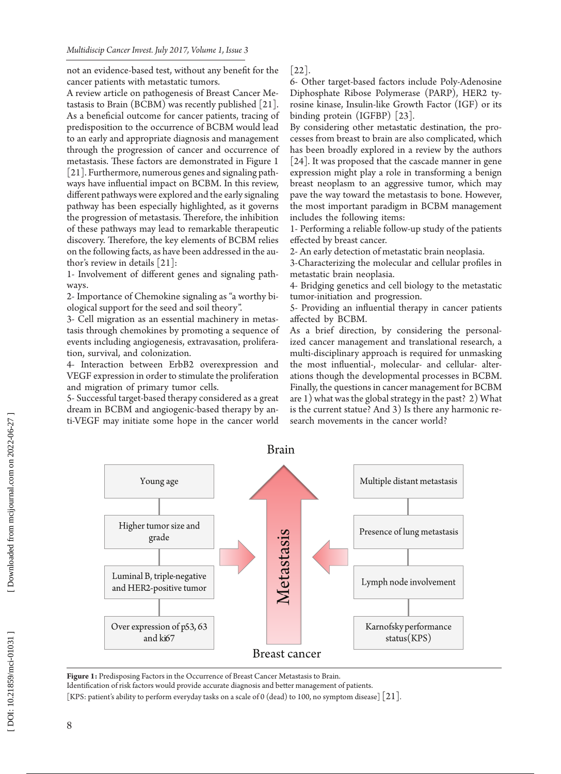not an evidence-based test, without any benefit for the cancer patients with metastatic tumors.

A review article on pathogenesis of Breast Cancer Me tastasis to Brain (BCBM) was recently published [21]. As a beneficial outcome for cancer patients, tracing of predisposition to the occurrence of BCBM would lead to an early and appropriate diagnosis and management through the progression of cancer and occurrence of metastasis. These factors are demonstrated in Figure 1 [21]. Furthermore, numerous genes and signaling path ways have influential impact on BCBM. In this review, different pathways were explored and the early signaling pathway has been especially highlighted, as it governs the progression of metastasis. Therefore, the inhibition of these pathways may lead to remarkable therapeutic discovery. Therefore, the key elements of BCBM relies on the following facts, as have been addressed in the au thor's review in details [21]:

1- Involvement of different genes and signaling path ways

2- Importance of Chemokine signaling as "a worthy bi ological support for the seed and soil theory".

3- Cell migration as an essential machinery in metas tasis through chemokines by promoting a sequence of events including angiogenesis, extravasation, prolifera tion, survival, and colonization.

4- Interaction between ErbB2 overexpression and VEGF expression in order to stimulate the proliferation and migration of primary tumor cells.

5- Successful target-based therapy considered as a great dream in BCBM and angiogenic-based therapy by an ti-VEGF may initiate some hope in the cancer world [22].

6- Other target-based factors include Poly-Adenosine Diphosphate Ribose Polymerase (PARP), HER2 ty rosine kinase, Insulin-like Growth Factor (IGF) or its binding protein (IGFBP) [23].

By considering other metastatic destination, the pro cesses from breast to brain are also complicated, which has been broadly explored in a review by the authors [24]. It was proposed that the cascade manner in gene expression might play a role in transforming a benign breast neoplasm to an aggressive tumor, which may pave the way toward the metastasis to bone. However, the most important paradigm in BCBM management includes the following items:

1- Performing a reliable follow-up study of the patients effected by breast cancer.

2- An early detection of metastatic brain neoplasia.

3-Characterizing the molecular and cellular profiles in metastatic brain neoplasia.

4- Bridging genetics and cell biology to the metastatic tumor-initiation and progression.

5- Providing an influential therapy in cancer patients affected by BCBM.

As a brief direction, by considering the personal ized cancer management and translational research, a multi-disciplinary approach is required for unmasking the most influential-, molecular- and cellular- alter ations though the developmental processes in BCBM. Finally, the questions in cancer management for BCBM are 1) what was the global strategy in the past? 2) What is the current statue? And 3) Is there any harmonic re search movements in the cancer world?



Figure 1: Predisposing Factors in the Occurrence of Breast Cancer Metastasis to Brain. Identification of risk factors would provide accurate diagnosis and better management of patients.

[KPS: patient's ability to perform everyday tasks on a scale of 0 (dead) to 100, no symptom disease]  $\lfloor 21 \rfloor$ .